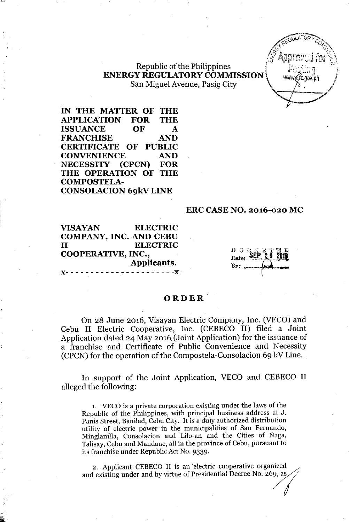#### **Republic of the Philippines ENERGY REGULATORY COMMISSION** San Miguel Avenue, Pasig City )'

IN THE MATTER OF THE APPLICATION FOR THE ISSUANCE OF FRANCHISE AND CERTIFICATE OF PUBLIC CONVENIENCE AND NECESSITY (CPCN) FOR THE OPERATION OF THE COMPOSTELA-CONSOLACION 69kV LINE

#### ERC CASE NO. 2016-020 MC

VISAYAN ELECTRIC COMPANY, INC. AND CEBU II ELECTRIC COOPERATIVE, INC., Applicants. *J(- - - - - - - - - - -- - - - - - - - - - -J(*

Date:

AREGULATORY COMP

 $\mathscr{L}$  annoyed for  $\mathbb{R}$  $\mathbb{E} \left[ \mathbb{E} \left[ \mathbb{E} \left[ \mathbb{E} \left[ \mathbb{E} \left[ \mathbb{E} \left[ \mathbb{E} \left[ \mathbb{E} \left[ \mathbb{E} \left[ \mathbb{E} \left[ \mathbb{E} \left[ \mathbb{E} \left[ \mathbb{E} \left[ \mathbb{E} \left[ \mathbb{E} \left[ \mathbb{E} \left[ \mathbb{E} \left[ \mathbb{E} \left[ \mathbb{E} \left[ \mathbb{E} \left[ \mathbb{E} \left[ \mathbb{E} \left[ \mathbb{E} \left[ \mathbb{E} \left[ \mathbb{E$ 

\_~7

#### **ORDER**

On 28 June 2016, Visayan Electric Company, Inc. (VECO) and Cebu II Electric Cooperative, Inc. (CEBECO II) filed a Joint Application dated 24 May 2016 (Joint Application) for the issuance of a franchise and Certificate of Public Convenience and Necessity (CPCN) for the operation of the Compostela-Consolacion 69 kV Line.

In support of the Joint Application, VECO and CEBECO II alleged the following:

1. VECO is a private corporation existing under the laws of the Republic of the Philippines, with principal business address at J. Panis Street, Banilad, Cebu City. It is a duly authorized distribution utility of electric power in the municipalities of San Fernando, Minglanilla, Consolacion and Lilo-an and the Cities of Naga, Talisay, Cebu and Mandaue, all in the province of Cebu, pursuant to its franchise under Republic Act No. 9339.

2, Applicant CEBECO II is an 'electric cooperative organized and existing under and by virtue of Presidential Decree No. 269, as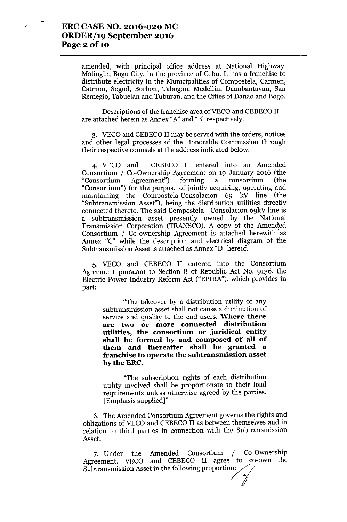$\mathbf{r}$ 

amended, with principal office address at National Highway, Malingin, Bogo City, in the province of Cebu. It has a franchise to distribute electricity in the Municipalities of Compostela, Carmen, Catmon, Sogod, Borbon, Tabogon, Medellin, Daanbantayan, San Remegio, Tabuelan and Tuburan, and the Cities of Danao and Bogo.

Descriptions of the franchise area of VECO and CEBECO II are attached herein as Annex "A"and "B" respectively.

3. VECO and CEBECO II may be served with the orders, notices and other legal processes of the Honorable Commission through their respective counsels at the address indicated below.

4. VECO and CEBECO II entered into an Amended Consortium / Co-Ownership Agreement on 19 January 2016 (the "Consortium Agreement") forming a consortium (the "Consortium") for the purpose of jointly acquiring, operating and maintaining the Compostela-Consolacion 69 kV line (the "Subtransmission Asset"), being the distribution utilities directly connected thereto. The said Compostela - Consolacion 69kV line is a subtransmission asset presently owned by the National Transmission Corporation (TRANSCO). A copy of the Amended Consortium / Co-ownership Agreement is attached herewith' as Annex "C" while the description and electrical diagram of the Subtransmission Asset is attached as Annex "D" hereof.

5. VECO and CEBECO II entered into the Consortium Agreement pursuant to Section 8 of Republic Act No. 9136, the Electric Power Industry Reform Act ("EPlRA"), which provides in part:

"The takeover by a distribution utility of any subtransmission asset shall not cause a diminution of service and quality to the end-users. **Where there are two or more connected distribution utilities, the consortium or juridical entity shall be formed by and composed of all of them and thereafter shall be granted a franchise to operate the subtransmission asset bytheERC.**

"The subscription rights of each distribution utility involved shall be proportionate to their load requirements unless otherwise agreed by the parties. [Emphasis supplied]"

6. The Amended Consortium Agreement governs the rights and obligations of VECO and CEBECO II as between themselves and in relation to third parties in connection with the Subtransmission Asset.

7. Under the Amended Consortium / Co-Ownership Agreement, VECO and CEBECO II agree to co-own the Subtransmission Asset in the following proportion: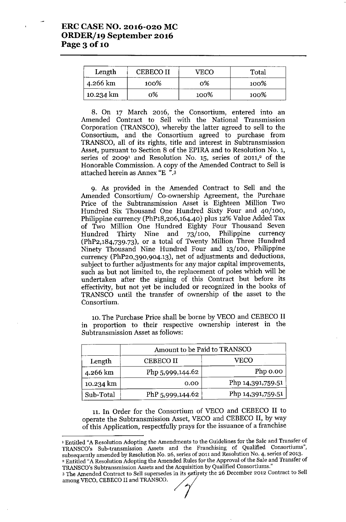| Length    | <b>CEBECO II</b> | $'$ FCO | Total |
|-----------|------------------|---------|-------|
| 4.266 km  | 100%             | 0%      | 100%  |
| 10.234 km | 0%               | 100%    | 100%  |

8. On 17 March 2016, the Consortium, entered into an Amended Contract to Sell with the National Transmission Corporation (TRANSCO), whereby the latter agreed to sell to the Consortium, and the Consortium agreed to purchase from TRANSCO, all of its rights, title and interest in Subtransmission Asset, pursuant to Section 8 of the EPIRA and to Resolution No. 1, series of 2009<sup>1</sup> and Resolution No. 15, series of 2011,<sup>2</sup> of the Honorable Commission. A copy of the Amended Contract to Sell is attached herein as Annex "E ".3

9. As provided in the Amended Contract to Sell and the Amended Consortium/ Co-ownership Agreement, the Purchase Price of the Subtransmission Asset is Eighteen Million Two Hundred Six Thousand One Hundred Sixty Four and 40/100, Philippine currency (PhP18,206,164.40) plus 12% Value Added Tax of Two Million One Hundred Eighty Four Thousand Seven Hundred Thirty Nine and 73/100, Philippine currency (PhP2,184,739.73), or a total of Twenty Million Three Hundred Ninety Thousand Nine Hundred Four and 13/100, Philippine currency (PhP20,390,904.13), net of adjustments and deductions, subject to further adjustments for any major capital improvements, such as but not limited to, the replacement of poles which will be undertaken after the signing of this Contract but before its effectivity, but not yet be included or recognized in the books of TRANSCO until the transfer of ownership of the asset to the Consortium.

10. The Purchase Price shall be borne by VECO and CEBECO II in proportion to their respective ownership interest in the Subtransmission Asset as follows:

|           | Amount to be Paid to TRANSCO |                   |  |
|-----------|------------------------------|-------------------|--|
| Length    | <b>CEBECO II</b>             | VECO              |  |
| 4.266 km  | Php 5,999,144.62             | Php 0.00          |  |
| 10.234 km | 0.00                         | Php 14,391,759.51 |  |
| Sub-Total | PhP 5,999,144.62             | Php 14,391,759.51 |  |

11.In Order for the Consortium of VECO and CEBECO II to operate the Subtransmission Asset, VECO and CEBECO **II,** by way of this Application, respectfully prays for the issuance of a franchise

, Entitled "A Resolution Adopting the Amendments to the Guidelines for the Sale and Transfer of TRANSCO's Sub-transmission Assets and the Franchising of Qualified Consortiums", subsequently amended by Resolution No. 26, series of 2011 and Resolution NO.4, series of 2013. <sup>2</sup> Entitled "A Resolution Adopting the Amended Rules for the Approval of the Sale and Transfer of TRANSCO's Subtransmission Assets and the Acquisition by Qualified Consortiums."

3 The Amended Contract to Sell supersedes in its entirety the 26 December 2012 Contract to Sell Parameter and the Amended Rules<br>TRANSCO's Subtransmission Assets and the Acquisition<br>3 The Amended Contract to Sell supersedes in its entire<br>among VECO, CEBECO II and TRANSCO.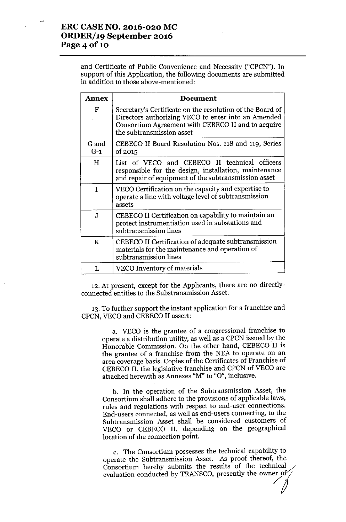## **ERCCASE NO. 2016-020 MC ORDERf19 September 2016 Page 4 of 10**

and Certificate of Public Convenience and Necessity ("CPCN"). **In** support of this Application, the following documents are submitted in addition to those above-mentioned:

| <b>Annex</b>   | <b>Document</b>                                                                                                                                                                                     |  |  |
|----------------|-----------------------------------------------------------------------------------------------------------------------------------------------------------------------------------------------------|--|--|
| $\mathbf F$    | Secretary's Certificate on the resolution of the Board of<br>Directors authorizing VECO to enter into an Amended<br>Consortium Agreement with CEBECO II and to acquire<br>the subtransmission asset |  |  |
| G and<br>$G-1$ | CEBECO II Board Resolution Nos. 118 and 119, Series<br>of 2015                                                                                                                                      |  |  |
| H              | List of VECO and CEBECO II technical officers<br>responsible for the design, installation, maintenance<br>and repair of equipment of the subtransmission asset                                      |  |  |
| T              | VECO Certification on the capacity and expertise to<br>operate a line with voltage level of subtransmission<br>assets                                                                               |  |  |
| $\mathbf J$    | CEBECO II Certification on capability to maintain an<br>protect instrumentiation used in substations and<br>subtransmission lines                                                                   |  |  |
| K              | CEBECO II Certification of adequate subtransmission<br>materials for the maintenance and operation of<br>subtransmission lines                                                                      |  |  |
| τ.             | VECO Inventory of materials                                                                                                                                                                         |  |  |

12.At present, except for the Applicants, there are no directlyconnected entities to the Substransmission Asset.

13.To further support the instant application for a franchise and CPCN, VECO and CEBECO II assert:

a. VECO is the grantee of a congressional franchise to operate a distribution utility, as well as a CPCN issued by the Honorable Commission. On the other hand, CEBECO II is the grantee of a franchise from the NEA to operate on an area coverage basis. Copies of the Certificates of Franchise of CEBECO II, the legislative franchise and CPCN of VECO are attached herewith as Annexes "M" to "O", inclusive.

b. **In** the operation of the Subtransmission Asset, the Consortium shall adhere to the provisions of applicable laws, rules and regulations with respect to end-user connections. End-users connected, as well as end-users connecting, to the Subtransmission Asset shall be considered customers of VECO or CEBECO II, depending on the geographical location of the connection point.

c. The Consortium possesses the technical capability to operate the Subtransmission Asset. As proof thereof, the Consortium hereby submits the results of the technical evaluation conducted by TRANSCO, presently the owner  $of$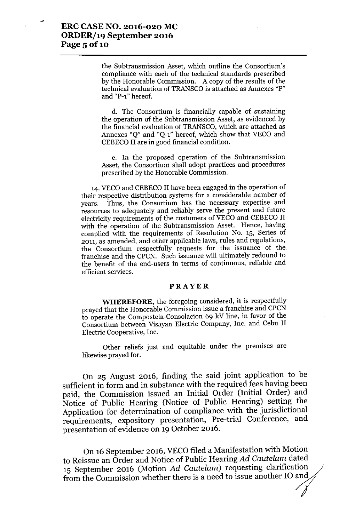the Subtransmission Asset, which outline the Consortium's compliance with each of the technical standards prescribed by the Honorable Commission. A copy of the results of the technical evaluation of TRANSCO is attached as Annexes "P" and "P-l" hereof.

d. The Consortium is financially capable of sustaining the operation of the Subtransmission Asset, as evidenced by the financial evaluation of TRANSCO, which are attached as Annexes "Q" and "Q-l" hereof, which show that VECO and CEBECO II are in good financial condition.

e. In the proposed operation of the Subtransmission Asset, the Consortium shall adopt practices and procedures prescribed by the Honorable Commission.

14. VECO and CEBECO II have been engaged in the operation of their respective distribution systems for a considerable number of years. Thus, the Consortium has the necessary expertise and resources to adequately and reliably serve the present and future electricity requirements of the customers of VECO and CEBECO II with the operation of the Subtransmission Asset. Hence, having complied with the requirements of Resolution No. 15, Series of 2011, as amended, and other applicable laws, rules and regulations, the Consortium respectfully requests for the issuance of the franchise and the CPCN. Such issuance will ultimately redound to the benefit of the end-users in terms of continuous, reliable and efficient services.

#### PRAYER

WHEREFORE, the foregoing considered, it is respectfully prayed that the Honorable Commission issue a franchise and CPCN to operate the Compostela-Consolacion 69 kV line, in favor of the Consortium between Visayan Electric Company, Inc. and Cebu II Electric Cooperative, Inc.

Other reliefs just and equitable under the premises are likewise prayed for.

On 25 August 2016, finding the said joint application to be sufficient in form and in substance with the required fees having been paid, the Commission issued an Initial Order (Initial Order) and Notice of Public Hearing (Notice of Public Hearing) setting the Application for determination of compliance with the jurisdictional requirements, expository presentation, Pre-trial Conference, and presentation of evidence on 19 October 2016.

On 16 September 2016, VECO filed a Manifestation with Motion to Reissue an Order and Notice of Public Hearing *Ad Cautelam* dated 15 September 2016 (Motion *Ad Cautelam*) requesting clarification from the Commission whether there is a need to issue another IO and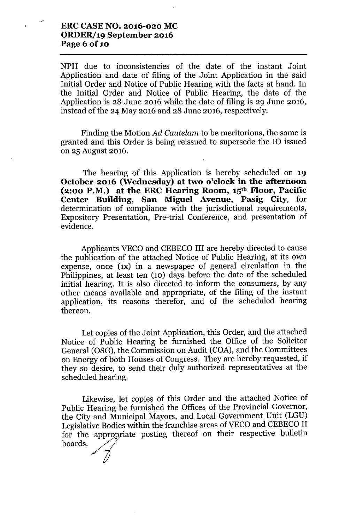### ERCCASENO. 2016-020 MC ORDER/19 September 2016 Page 6 of 10

NPH due to inconsistencies of the date of the instant Joint Application and date of filing of the Joint Application in the said Initial Order and Notice of Public Hearing with the facts at hand. In the Initial Order and Notice of Public Hearing, the date of the Application is 28 June 2016 while the date of filing is 29 June 2016, instead of the 24 May 2016 and 28 June 2016, respectively.

Finding the Motion *Ad Cautelam* to be meritorious, the same is granted and this Order is being reissued to supersede the 10 issued on 25 August 2016.

The hearing of this Application is hereby scheduled on 19 October 2016 (Wednesday) at two o'clock in the afternoon (2:00 P.M.) at the ERC Hearing Room,  $15<sup>th</sup>$  Floor, Pacific Center Building, San Miguel Avenue, Pasig City, for determination of compliance with the jurisdictional requirements, Expository Presentation, Pre-trial Conference, and presentation of evidence.

Applicants VECO and CEBECO III are hereby directed to cause the publication of the attached Notice of Public Hearing, at its own expense, once (1x) in a newspaper of general circulation in the Philippines, at least ten (10) days before the date of the scheduled initial hearing. It is also directed to inform the consumers, by any other means available and appropriate, of the filing of the instant application, its reasons therefor, and of the scheduled hearing thereon.

Let copies of the Joint Application, this Order, and the attached Notice of Public Hearing be furnished the Office of the Solicitor General (OSG), the Commission on Audit (COA), and the Committees on Energy of both Houses of Congress. They are hereby requested, if they so desire, to send their duly authorized representatives at the scheduled hearing.

Likewise, let copies of this Order and the attached Notice of Public Hearing be furnished the Offices of the Provincial Governor, the City and Municipal Mayors, and Local Government Unit (LGU) Legislative Bodies within the franchise areas of VECO and CEBECO II for the appropriate posting thereof on their respective bulletin boards.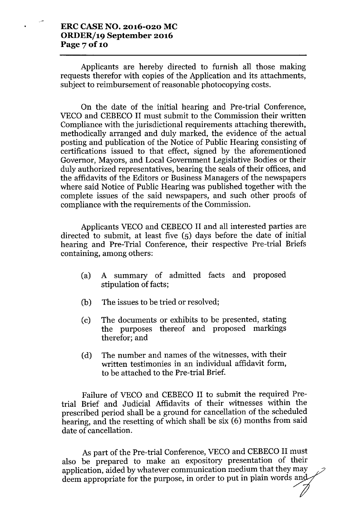#### **ERCCASENO. 2016-020 MC ORDER/19 September 2016 Page 70f10**

Applicants are hereby directed to furnish all those making requests therefor with copies of the Application and its attachments, subject to reimbursement of reasonable photocopying costs.

On the date of the initial hearing and Pre-trial Conference, VECO and CEBECO II must submit to the Commission their written Compliance with the jurisdictional requirements attaching therewith, methodically arranged and duly marked, the evidence of the actual posting and publication of the Notice of Public Hearing consisting of certifications issued to that effect, signed by the aforementioned Governor, Mayors, and Local Government Legislative Bodies or their duly authorized representatives, bearing the seals of their offices, and the affidavits of the Editors or Business Managers of the newspapers where said Notice of Public Hearing was published together with the complete issues of the said newspapers, and such other proofs of compliance with the requirements of the Commission.

Applicants VECO and CEBECO II and all interested parties are directed to submit, at least five (5) days before the date of initial hearing and Pre-Trial Conference, their respective Pre-trial Briefs containing, among others:

- (a) A summary of admitted facts and proposed stipulation of facts;
- (b) The issues to be tried or resolved;
- (c) The documents or exhibits to be presented, stating the purposes thereof and proposed markings therefor; and
- (d) The number and names of the witnesses, with their written testimonies in an individual affidavit form, to be attached to the Pre-trial Brief.

Failure of VECO and CEBECO II to submit the required Pretrial Brief and Judicial Affidavits of their witnesses within the prescribed period shall be a ground for cancellation of the scheduled hearing, and the resetting of which shall be six (6) months from said date of cancellation.

As part of the Pre-trial Conference, VECO and CEBECO II must also be prepared to make an expository presentation of their application, aided by whatever communication medium that they may deem appropriate for the purpose, in order to put in plain words and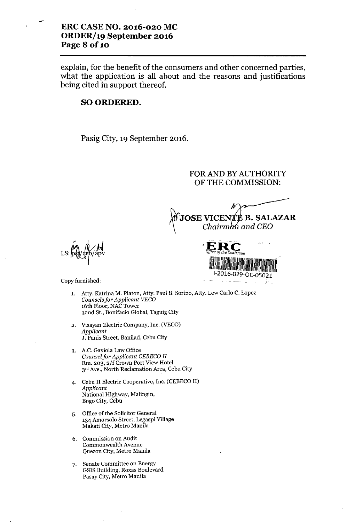### **ERC CASE NO. 2016-020 MC ORDER/19 September 2016 Page 8** of 10

••...

explain, for the benefit of the consumers and other concerned parties, what the application is all about and the reasons and justifications being cited in support thereof.

#### SO ORDERED.

Pasig City, 19 September 2016.

# FOR AND BY AUTHORITY OF THE COMMISSION:

~JOSEVICE **B.SALAZAR** *'\ Chairm and CEO*

 $\overline{M}, \overline{M}$ LS: ps)/gpp/apv

**;ER-C** *Office oIthe Chairman* Illil!!I~I!III!lllil'!III~I"!1~ <sup>I</sup> I"~~i( J-2016,029-0C-OSOn " -'---. \,

Copy furnished:

- 1. Atty. Katrina M. Platon, Atty. Paul B. Sorino, Atty. Lew Carlo C. Lopez *Counsels for Applicant VECa* 16th Floor, NAC Tower 32nd St., Bonifacio Global, Taguig City
- 2. Visayan Electric Company, Inc. (VECO) *Applicant* J. Panis Street, Banilad, Cebu City
- 3. AC. Gaviola Law Office *Counselfor Applicant CEBECa II* Rm. 203, 2/f Crown Port View Hotel 3rd Ave., North Reclamation Area, Cebu City
- 4. Cebu II Electric Cooperative, Inc. (CEBECO II) *Applicant* National Highway, Malingin, Bogo City, Cebu
- 5. Office of the Solicitor General 134 Amorsolo Street, Legaspi Village Makati City, Metro Manila
- 6. Commission on Audit Commonwealth Avenue Quezon City, Metro Manila
- 7. Senate Committee on Energy GSIS Building, Roxas Boulevard Pasay City, Metro Manila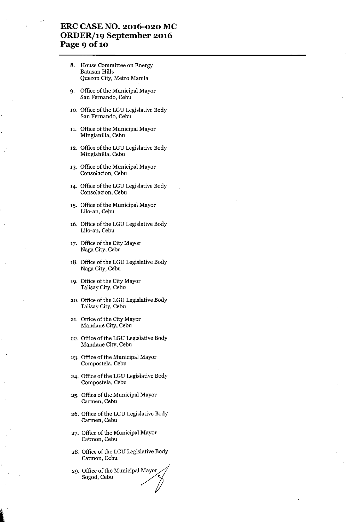### **ERCCASE NO. 2016-020 MC ORDERj19 September 2016** Page 9 of 10

- 8. House Committee on Energy Batasan Hills Quezon City, Metro Manila
- 9. Office of the Municipal Mayor San Fernando, Cebu
- 10. Office of the LGU Legislative Body San Fernando, Cebu
- 11. Office of the Municipal Mayor Minglanilla, Cebu
- 12. Office of the LGU Legislative Body Minglanilla, Cebu
- 13. Office of the Municipal Mayor Consolacion, Cebu
- 14. Office of the LGU Legislative Body Consolacion, Cebu
- 15. Office of the Municipal Mayor Lilo-an, Cebu
- 16. Office of the LGU Legislative Body Lilo-an, Cebu
- 17. Office of the City Mayor Naga City, Cebu
- 18. Office of the LGU Legislative Body Naga City, Cebu
- 19. Office of the City Mayor Talisay City, Cebu
- 20. Office of the LGU Legislative Body Talisay City, Cebu
- 21. Office of the City Mayor Mandaue City, Cebu
- 22. Office of the LGU Legislative Body Mandaue City, Cebu
- 23. Office of the Municipal Mayor Compostela, Cebu
- 24. Office of the LGU Legislative Body Compostela, Cebu
- 25. Office of the Municipal Mayor Carmen, Cebu
- 26. Office of the LGU Legislative Body Carmen, Cebu
- 27. Office of the Municipal Mayor Catmon, Cebu
- 28. Office of the LGU Legislative Body Catmon, Cebu
- 29. Office of the Municipal Mayor Sogod, Cebu